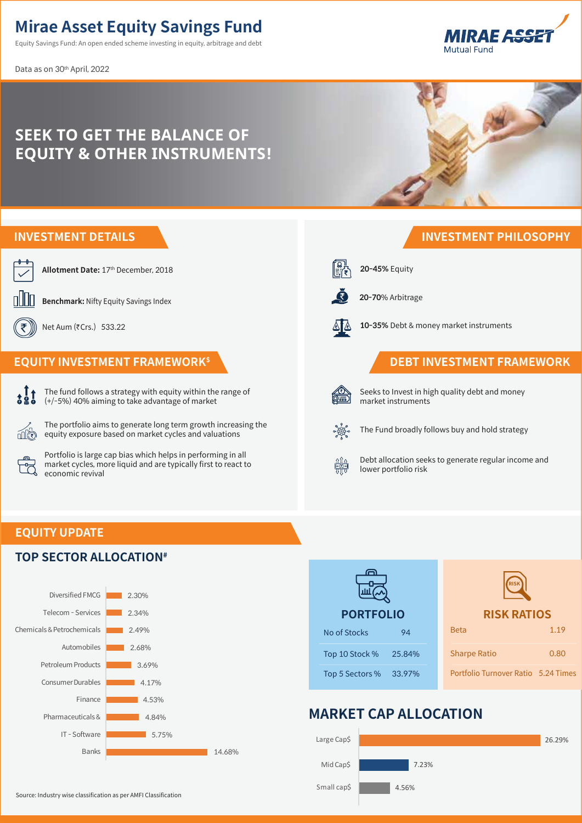# **Mirae Asset Equity Savings Fund**

Equity Savings Fund: An open ended scheme investing in equity, arbitrage and debt

Data as on 30th April, 2022





#### **EQUITY UPDATE**

#### **TOP SECTOR ALLOCATION#**





## **MARKET CAP ALLOCATION**